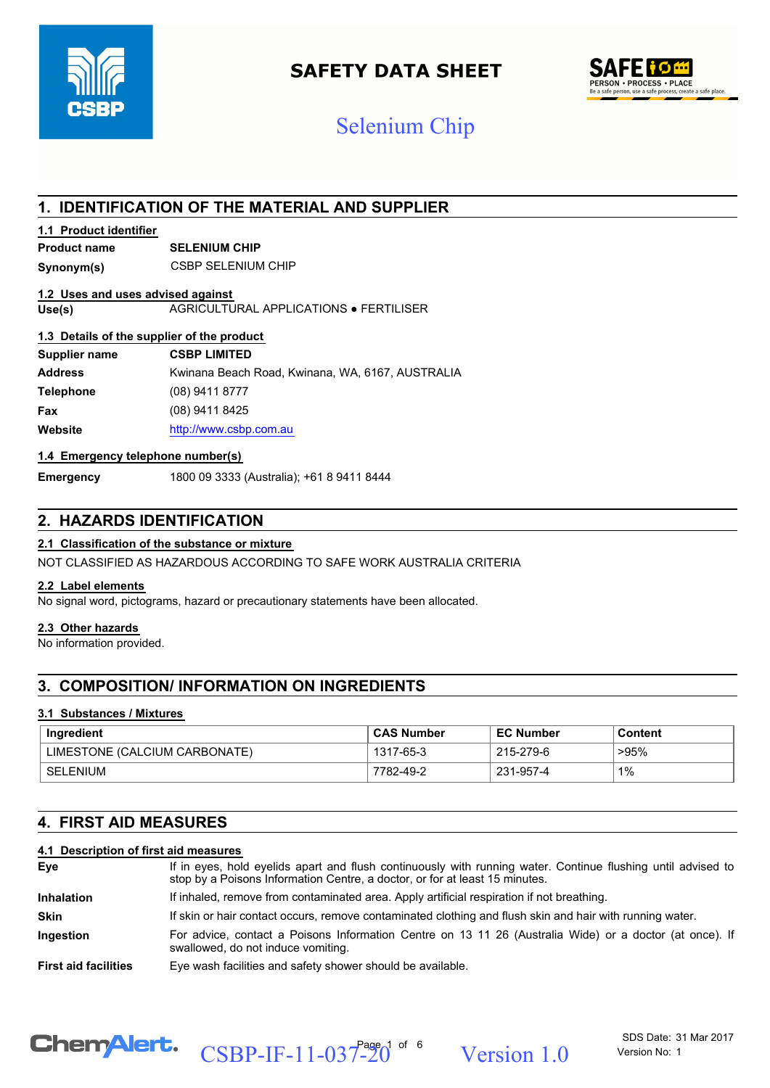

## **SAFETY DATA SHEET**



## Selenium Chip

## **1. IDENTIFICATION OF THE MATERIAL AND SUPPLIER**

### **1.1 Product identifier**

### **Product name SELENIUM CHIP**

**Synonym(s)** CSBP SELENIUM CHIP

#### **1.2 Uses and uses advised against**

**Use(s)** AGRICULTURAL APPLICATIONS ● FERTILISER

#### **1.3 Details of the supplier of the product**

| Supplier name    | <b>CSBP LIMITED</b>                              |
|------------------|--------------------------------------------------|
| <b>Address</b>   | Kwinana Beach Road, Kwinana, WA, 6167, AUSTRALIA |
| <b>Telephone</b> | (08) 9411 8777                                   |
| Fax              | (08) 9411 8425                                   |
| Website          | http://www.csbp.com.au                           |

#### **1.4 Emergency telephone number(s)**

**Emergency** 1800 09 3333 (Australia); +61 8 9411 8444

## **2. HAZARDS IDENTIFICATION**

### **2.1 Classification of the substance or mixture**

NOT CLASSIFIED AS HAZARDOUS ACCORDING TO SAFE WORK AUSTRALIA CRITERIA

#### **2.2 Label elements**

No signal word, pictograms, hazard or precautionary statements have been allocated.

#### **2.3 Other hazards**

No information provided.

## **3. COMPOSITION/ INFORMATION ON INGREDIENTS**

#### **3.1 Substances / Mixtures**

| Ingredient                    | <b>CAS Number</b> | <b>EC Number</b> | Content |
|-------------------------------|-------------------|------------------|---------|
| LIMESTONE (CALCIUM CARBONATE) | 1317-65-3         | 215-279-6        | >95%    |
| SELENIUM                      | 7782-49-2         | 231-957-4        | 1%      |

## **4. FIRST AID MEASURES**

#### **4.1 Description of first aid measures**

| Eye                         | If in eyes, hold eyelids apart and flush continuously with running water. Continue flushing until advised to<br>stop by a Poisons Information Centre, a doctor, or for at least 15 minutes. |  |  |
|-----------------------------|---------------------------------------------------------------------------------------------------------------------------------------------------------------------------------------------|--|--|
| <b>Inhalation</b>           | If inhaled, remove from contaminated area. Apply artificial respiration if not breathing.                                                                                                   |  |  |
| <b>Skin</b>                 | If skin or hair contact occurs, remove contaminated clothing and flush skin and hair with running water.                                                                                    |  |  |
| <b>Ingestion</b>            | For advice, contact a Poisons Information Centre on 13 11 26 (Australia Wide) or a doctor (at once). If<br>swallowed, do not induce vomiting.                                               |  |  |
| <b>First aid facilities</b> | Eye wash facilities and safety shower should be available.                                                                                                                                  |  |  |



CSBP-IF-11-037-20<sup>1 of 6</sup> Version 1.0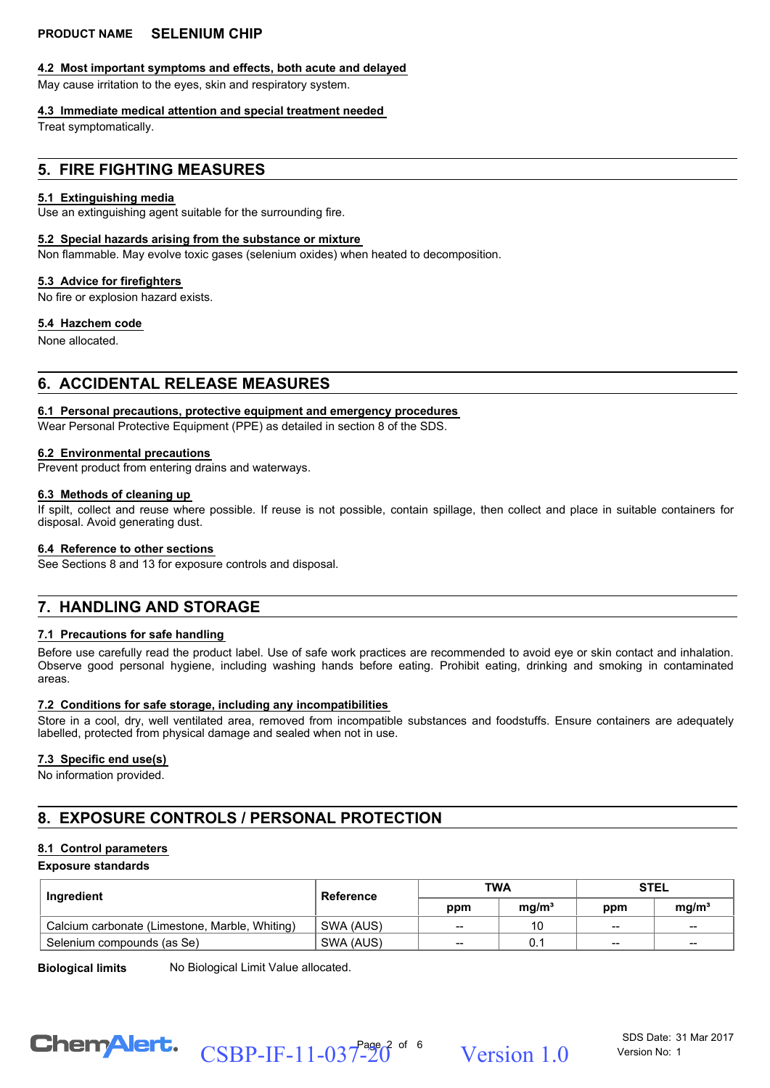#### **4.2 Most important symptoms and effects, both acute and delayed**

May cause irritation to the eyes, skin and respiratory system.

#### **4.3 Immediate medical attention and special treatment needed**

Treat symptomatically.

## **5. FIRE FIGHTING MEASURES**

#### **5.1 Extinguishing media**

Use an extinguishing agent suitable for the surrounding fire.

#### **5.2 Special hazards arising from the substance or mixture**

Non flammable. May evolve toxic gases (selenium oxides) when heated to decomposition.

#### **5.3 Advice for firefighters**

No fire or explosion hazard exists.

#### **5.4 Hazchem code**

None allocated.

## **6. ACCIDENTAL RELEASE MEASURES**

#### **6.1 Personal precautions, protective equipment and emergency procedures**

Wear Personal Protective Equipment (PPE) as detailed in section 8 of the SDS.

#### **6.2 Environmental precautions**

Prevent product from entering drains and waterways.

#### **6.3 Methods of cleaning up**

If spilt, collect and reuse where possible. If reuse is not possible, contain spillage, then collect and place in suitable containers for disposal. Avoid generating dust.

#### **6.4 Reference to other sections**

See Sections 8 and 13 for exposure controls and disposal.

## **7. HANDLING AND STORAGE**

#### **7.1 Precautions for safe handling**

Before use carefully read the product label. Use of safe work practices are recommended to avoid eye or skin contact and inhalation. Observe good personal hygiene, including washing hands before eating. Prohibit eating, drinking and smoking in contaminated areas.

#### **7.2 Conditions for safe storage, including any incompatibilities**

Store in a cool, dry, well ventilated area, removed from incompatible substances and foodstuffs. Ensure containers are adequately labelled, protected from physical damage and sealed when not in use.

#### **7.3 Specific end use(s)**

No information provided.

## **8. EXPOSURE CONTROLS / PERSONAL PROTECTION**

#### **8.1 Control parameters**

#### **Exposure standards**

| Ingredient                                     | Reference | <b>TWA</b> |                   | <b>STEL</b>              |                   |
|------------------------------------------------|-----------|------------|-------------------|--------------------------|-------------------|
|                                                |           | ppm        | mq/m <sup>3</sup> | ppm                      | mq/m <sup>3</sup> |
| Calcium carbonate (Limestone, Marble, Whiting) | SWA (AUS) | $-$        | 10                | $\hspace{0.05cm}$        | $- -$             |
| Selenium compounds (as Se)                     | SWA (AUS) | --         |                   | $\overline{\phantom{m}}$ | $- -$             |

**Biological limits** No Biological Limit Value allocated.



CSBP-IF-11-037-20<sup> $\degree$  of  $\degree$  Version 1.0</sup>

SDS Date: 31 Mar 2017 Version No: 1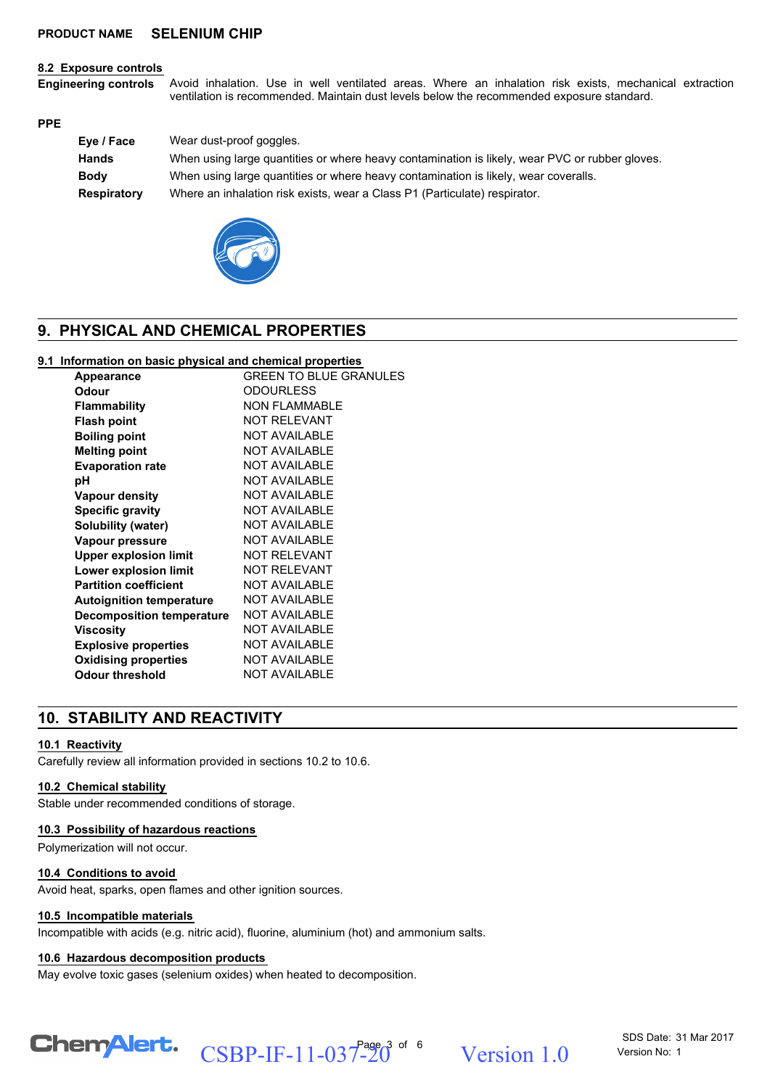#### **8.2 Exposure controls**

Avoid inhalation. Use in well ventilated areas. Where an inhalation risk exists, mechanical extraction ventilation is recommended. Maintain dust levels below the recommended exposure standard. **Engineering controls**

#### **PPE**

| Eye / Face   | Wear dust-proof goggles.                                                                       |
|--------------|------------------------------------------------------------------------------------------------|
| <b>Hands</b> | When using large quantities or where heavy contamination is likely, wear PVC or rubber gloves. |
| <b>Body</b>  | When using large quantities or where heavy contamination is likely, wear coveralls.            |
| Respiratory  | Where an inhalation risk exists, wear a Class P1 (Particulate) respirator.                     |



## **9. PHYSICAL AND CHEMICAL PROPERTIES**

#### **9.1 Information on basic physical and chemical properties**

| Appearance                      | <b>GREEN TO BLUE GRANULES</b> |
|---------------------------------|-------------------------------|
| Odour                           | <b>ODOURLESS</b>              |
| <b>Flammability</b>             | NON FI AMMABI F               |
| <b>Flash point</b>              | <b>NOT RELEVANT</b>           |
| <b>Boiling point</b>            | <b>NOT AVAILABLE</b>          |
| <b>Melting point</b>            | <b>NOT AVAILABLE</b>          |
| <b>Evaporation rate</b>         | <b>NOT AVAILABLE</b>          |
| рH                              | NOT AVAILABLE                 |
| <b>Vapour density</b>           | <b>NOT AVAILABLE</b>          |
| <b>Specific gravity</b>         | <b>NOT AVAILABLE</b>          |
| Solubility (water)              | <b>NOT AVAILABLE</b>          |
| Vapour pressure                 | <b>NOT AVAILABLE</b>          |
| <b>Upper explosion limit</b>    | NOT REI EVANT                 |
| Lower explosion limit           | <b>NOT RELEVANT</b>           |
| <b>Partition coefficient</b>    | <b>NOT AVAILABLE</b>          |
| <b>Autoignition temperature</b> | <b>NOT AVAILABLE</b>          |
| Decomposition temperature       | <b>NOT AVAILABLE</b>          |
| Viscosity                       | <b>NOT AVAILABLE</b>          |
| <b>Explosive properties</b>     | <b>NOT AVAILABLE</b>          |
| <b>Oxidising properties</b>     | <b>NOT AVAILABLE</b>          |
| <b>Odour threshold</b>          | <b>NOT AVAILABLE</b>          |
|                                 |                               |

## **10. STABILITY AND REACTIVITY**

#### **10.1 Reactivity**

Carefully review all information provided in sections 10.2 to 10.6.

#### **10.2 Chemical stability**

Stable under recommended conditions of storage.

#### **10.3 Possibility of hazardous reactions**

Polymerization will not occur.

#### **10.4 Conditions to avoid**

Avoid heat, sparks, open flames and other ignition sources.

#### **10.5 Incompatible materials**

Incompatible with acids (e.g. nitric acid), fluorine, aluminium (hot) and ammonium salts.

#### **10.6 Hazardous decomposition products**

May evolve toxic gases (selenium oxides) when heated to decomposition.

# CSBP-IF-11-037-20<sup>3 of 6</sup> Version 1.0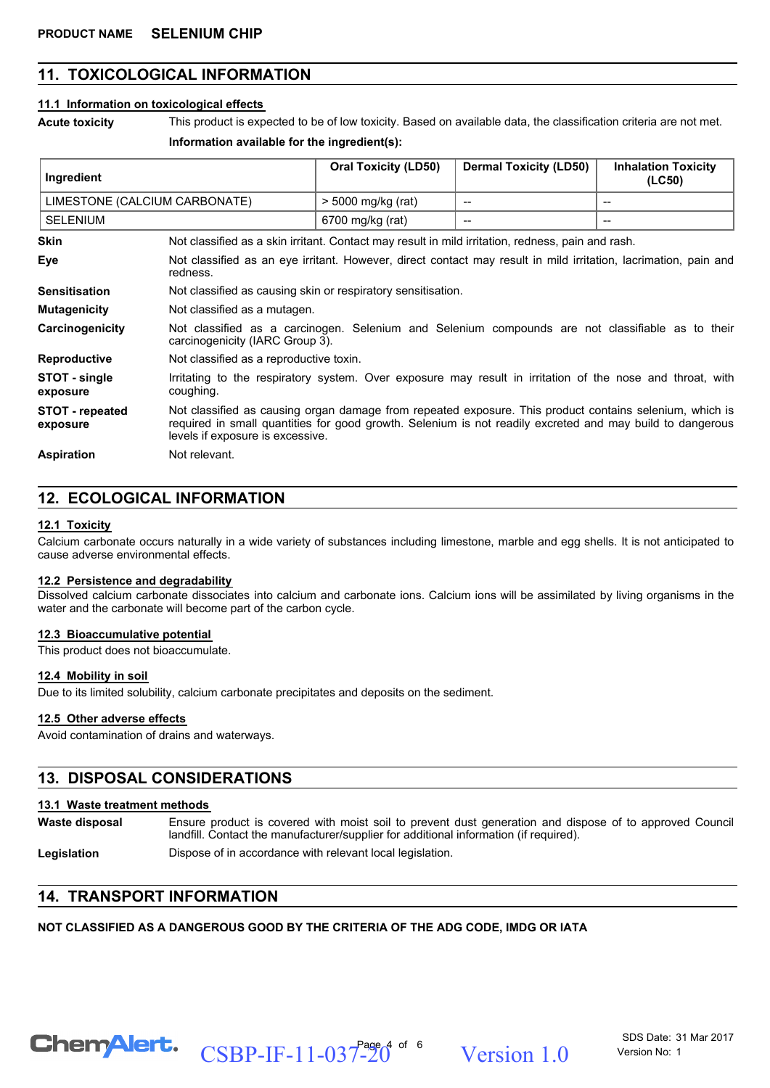## **11. TOXICOLOGICAL INFORMATION**

#### **11.1 Information on toxicological effects**

**Acute toxicity** This product is expected to be of low toxicity. Based on available data, the classification criteria are not met.

#### **Information available for the ingredient(s):**

| Ingredient                    |                                                                                                                                                                                                                                                          | <b>Oral Toxicity (LD50)</b> | <b>Dermal Toxicity (LD50)</b> | <b>Inhalation Toxicity</b><br>(LC50) |
|-------------------------------|----------------------------------------------------------------------------------------------------------------------------------------------------------------------------------------------------------------------------------------------------------|-----------------------------|-------------------------------|--------------------------------------|
| LIMESTONE (CALCIUM CARBONATE) |                                                                                                                                                                                                                                                          | $>$ 5000 mg/kg (rat)        |                               | $-$                                  |
| <b>SELENIUM</b>               |                                                                                                                                                                                                                                                          | 6700 mg/kg (rat)            |                               | --                                   |
| <b>Skin</b>                   | Not classified as a skin irritant. Contact may result in mild irritation, redness, pain and rash.                                                                                                                                                        |                             |                               |                                      |
| Eye                           | Not classified as an eye irritant. However, direct contact may result in mild irritation, lacrimation, pain and<br>redness.                                                                                                                              |                             |                               |                                      |
| <b>Sensitisation</b>          | Not classified as causing skin or respiratory sensitisation.                                                                                                                                                                                             |                             |                               |                                      |
| <b>Mutagenicity</b>           | Not classified as a mutagen.                                                                                                                                                                                                                             |                             |                               |                                      |
| Carcinogenicity               | Not classified as a carcinogen. Selenium and Selenium compounds are not classifiable as to their<br>carcinogenicity (IARC Group 3).                                                                                                                      |                             |                               |                                      |
| <b>Reproductive</b>           | Not classified as a reproductive toxin.                                                                                                                                                                                                                  |                             |                               |                                      |
| STOT - single<br>exposure     | Irritating to the respiratory system. Over exposure may result in irritation of the nose and throat, with<br>coughing.                                                                                                                                   |                             |                               |                                      |
| STOT - repeated<br>exposure   | Not classified as causing organ damage from repeated exposure. This product contains selenium, which is<br>required in small quantities for good growth. Selenium is not readily excreted and may build to dangerous<br>levels if exposure is excessive. |                             |                               |                                      |
| <b>Aspiration</b>             | Not relevant.                                                                                                                                                                                                                                            |                             |                               |                                      |

## **12. ECOLOGICAL INFORMATION**

#### **12.1 Toxicity**

Calcium carbonate occurs naturally in a wide variety of substances including limestone, marble and egg shells. It is not anticipated to cause adverse environmental effects.

#### **12.2 Persistence and degradability**

Dissolved calcium carbonate dissociates into calcium and carbonate ions. Calcium ions will be assimilated by living organisms in the water and the carbonate will become part of the carbon cycle.

#### **12.3 Bioaccumulative potential**

This product does not bioaccumulate.

#### **12.4 Mobility in soil**

Due to its limited solubility, calcium carbonate precipitates and deposits on the sediment.

#### **12.5 Other adverse effects**

Avoid contamination of drains and waterways.

## **13. DISPOSAL CONSIDERATIONS**

#### **13.1 Waste treatment methods**

Ensure product is covered with moist soil to prevent dust generation and dispose of to approved Council landfill. Contact the manufacturer/supplier for additional information (if required). **Waste disposal**

CSBP-IF-11-037-20<sup> $^{\circ}$  of  $^{\circ}$  Version 1.0</sup>

Legislation **Dispose of in accordance with relevant local legislation.** 

## **14. TRANSPORT INFORMATION**

**NOT CLASSIFIED AS A DANGEROUS GOOD BY THE CRITERIA OF THE ADG CODE, IMDG OR IATA**

SDS Date: 31 Mar 2017 Version No: 1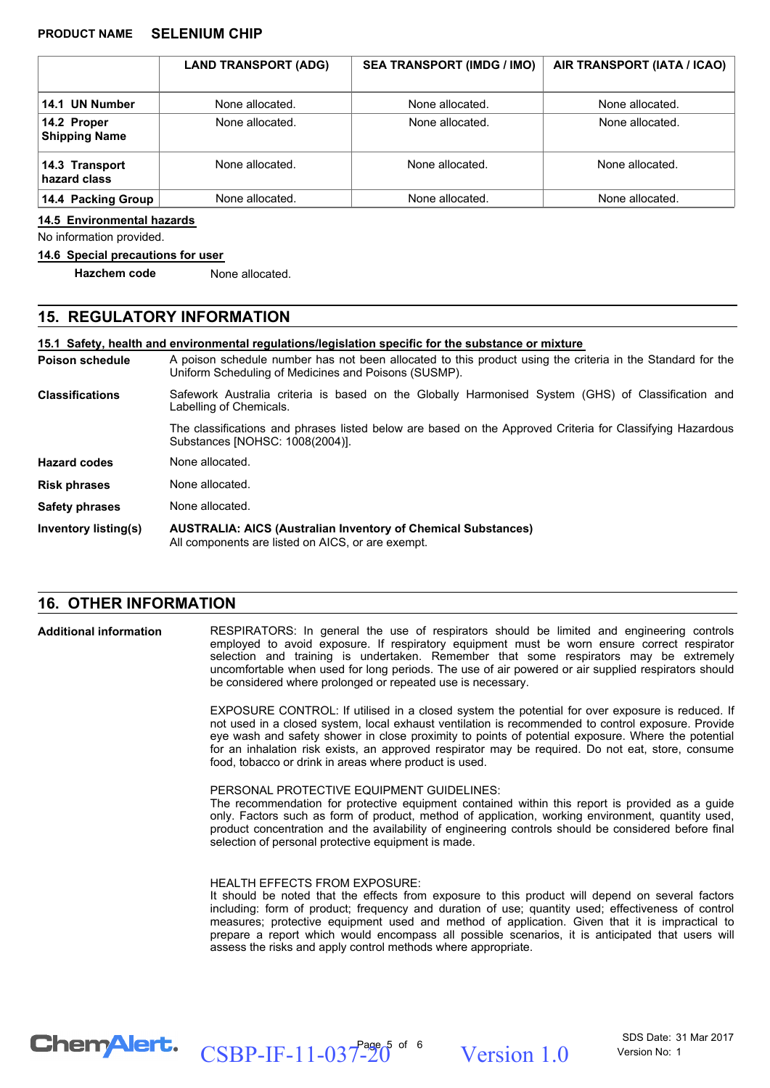|                                     | <b>LAND TRANSPORT (ADG)</b> | <b>SEA TRANSPORT (IMDG / IMO)</b> | AIR TRANSPORT (IATA / ICAO) |
|-------------------------------------|-----------------------------|-----------------------------------|-----------------------------|
| 14.1 UN Number                      | None allocated.             | None allocated.                   | None allocated.             |
| 14.2 Proper<br><b>Shipping Name</b> | None allocated.             | None allocated.                   | None allocated.             |
| 14.3 Transport<br>hazard class      | None allocated.             | None allocated.                   | None allocated.             |
| 14.4 Packing Group                  | None allocated.             | None allocated.                   | None allocated.             |

#### **14.5 Environmental hazards**

No information provided.

#### **14.6 Special precautions for user**

**Hazchem code** None allocated.

#### **15. REGULATORY INFORMATION**

**15.1 Safety, health and environmental regulations/legislation specific for the substance or mixture**

A poison schedule number has not been allocated to this product using the criteria in the Standard for the Uniform Scheduling of Medicines and Poisons (SUSMP). **Poison schedule**

Safework Australia criteria is based on the Globally Harmonised System (GHS) of Classification and Labelling of Chemicals. **Classifications**

> The classifications and phrases listed below are based on the Approved Criteria for Classifying Hazardous Substances [NOHSC: 1008(2004)].

**Hazard codes** None allocated.

**Risk phrases** None allocated.

**Safety phrases** None allocated.

**AUSTRALIA: AICS (Australian Inventory of Chemical Substances)** All components are listed on AICS, or are exempt. **Inventory listing(s)**

#### **16. OTHER INFORMATION**

**Additional information**

RESPIRATORS: In general the use of respirators should be limited and engineering controls employed to avoid exposure. If respiratory equipment must be worn ensure correct respirator selection and training is undertaken. Remember that some respirators may be extremely uncomfortable when used for long periods. The use of air powered or air supplied respirators should be considered where prolonged or repeated use is necessary.

EXPOSURE CONTROL: If utilised in a closed system the potential for over exposure is reduced. If not used in a closed system, local exhaust ventilation is recommended to control exposure. Provide eye wash and safety shower in close proximity to points of potential exposure. Where the potential for an inhalation risk exists, an approved respirator may be required. Do not eat, store, consume food, tobacco or drink in areas where product is used.

PERSONAL PROTECTIVE EQUIPMENT GUIDELINES:

The recommendation for protective equipment contained within this report is provided as a guide only. Factors such as form of product, method of application, working environment, quantity used, product concentration and the availability of engineering controls should be considered before final selection of personal protective equipment is made.

HEALTH EFFECTS FROM EXPOSURE:

It should be noted that the effects from exposure to this product will depend on several factors including: form of product; frequency and duration of use; quantity used; effectiveness of control measures; protective equipment used and method of application. Given that it is impractical to prepare a report which would encompass all possible scenarios, it is anticipated that users will assess the risks and apply control methods where appropriate.